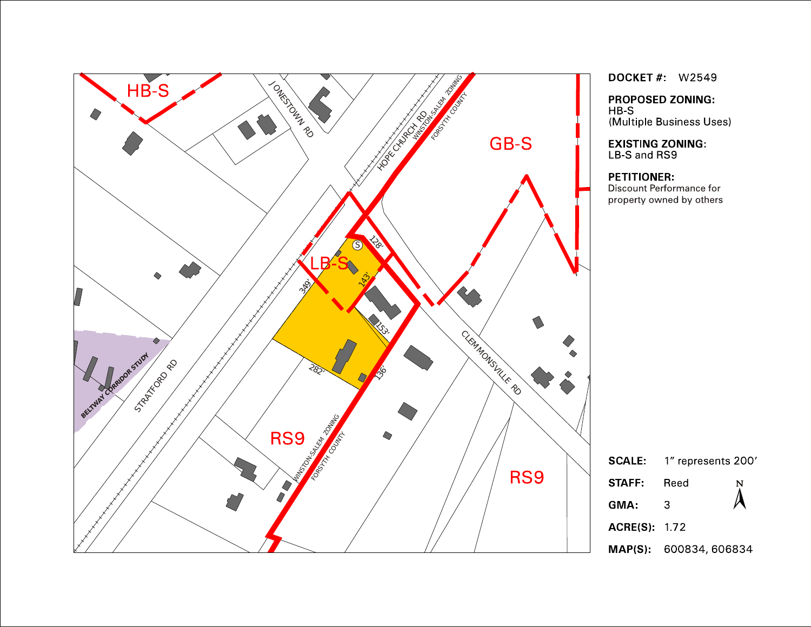

**DOCKET #: W2549** 

**PROPOSED ZONING:**  $HB-S$ (Multiple Business Uses)

**EXISTING ZONING:** LB-S and RS9

#### **PETITIONER:**

Discount Performance for property owned by others

| <b>SCALE:</b>      | 1" represents 200'     |                |
|--------------------|------------------------|----------------|
| <b>STAFF</b>       | Reed                   | $\bm{\lambda}$ |
| GMA:               | З                      |                |
| <b>ACRE(S) 172</b> |                        |                |
|                    | MAP(S): 600834, 606834 |                |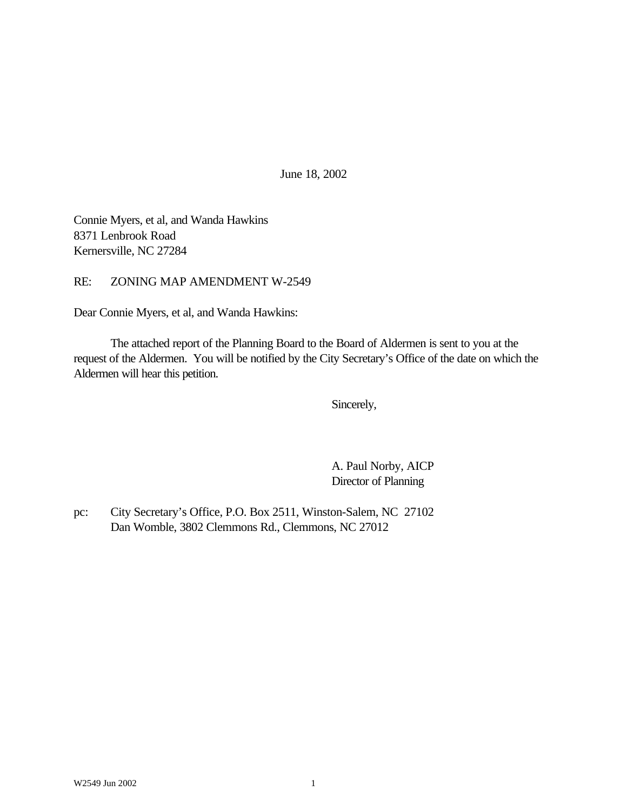June 18, 2002

Connie Myers, et al, and Wanda Hawkins 8371 Lenbrook Road Kernersville, NC 27284

RE: ZONING MAP AMENDMENT W-2549

Dear Connie Myers, et al, and Wanda Hawkins:

The attached report of the Planning Board to the Board of Aldermen is sent to you at the request of the Aldermen. You will be notified by the City Secretary's Office of the date on which the Aldermen will hear this petition.

Sincerely,

A. Paul Norby, AICP Director of Planning

pc: City Secretary's Office, P.O. Box 2511, Winston-Salem, NC 27102 Dan Womble, 3802 Clemmons Rd., Clemmons, NC 27012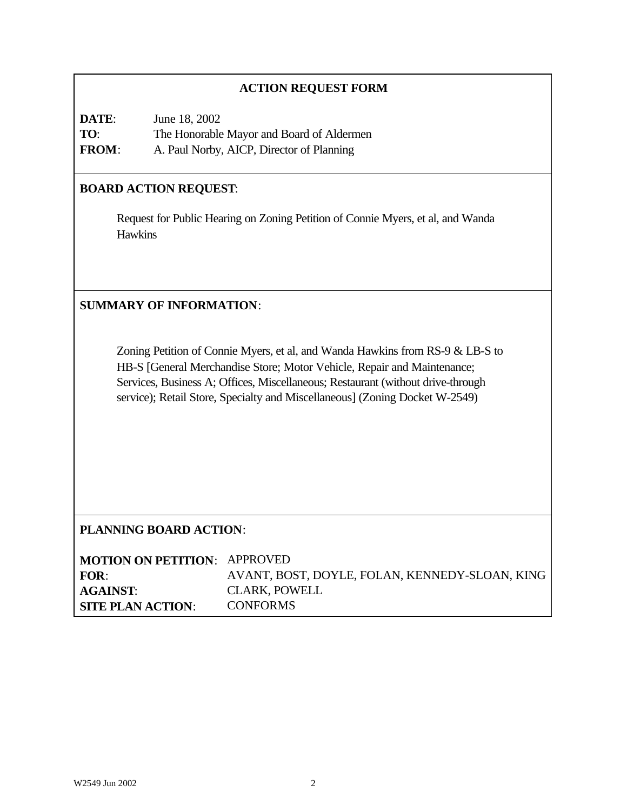### **ACTION REQUEST FORM**

| DATE:        | June 18, 2002                             |
|--------------|-------------------------------------------|
| TO:          | The Honorable Mayor and Board of Aldermen |
| <b>FROM:</b> | A. Paul Norby, AICP, Director of Planning |

# **BOARD ACTION REQUEST**:

Request for Public Hearing on Zoning Petition of Connie Myers, et al, and Wanda Hawkins

# **SUMMARY OF INFORMATION**:

Zoning Petition of Connie Myers, et al, and Wanda Hawkins from RS-9 & LB-S to HB-S [General Merchandise Store; Motor Vehicle, Repair and Maintenance; Services, Business A; Offices, Miscellaneous; Restaurant (without drive-through service); Retail Store, Specialty and Miscellaneous] (Zoning Docket W-2549)

### **PLANNING BOARD ACTION**:

| <b>MOTION ON PETITION: APPROVED</b> |                                                |
|-------------------------------------|------------------------------------------------|
| FOR:                                | AVANT, BOST, DOYLE, FOLAN, KENNEDY-SLOAN, KING |
| <b>AGAINST:</b>                     | <b>CLARK, POWELL</b>                           |
| <b>SITE PLAN ACTION:</b>            | <b>CONFORMS</b>                                |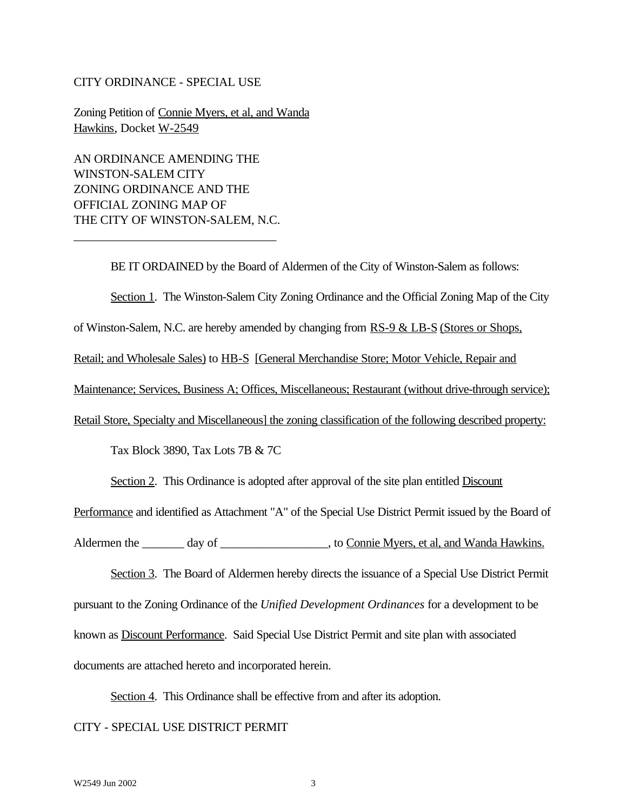#### CITY ORDINANCE - SPECIAL USE

Zoning Petition of Connie Myers, et al, and Wanda Hawkins, Docket W-2549

AN ORDINANCE AMENDING THE WINSTON-SALEM CITY ZONING ORDINANCE AND THE OFFICIAL ZONING MAP OF THE CITY OF WINSTON-SALEM, N.C.

\_\_\_\_\_\_\_\_\_\_\_\_\_\_\_\_\_\_\_\_\_\_\_\_\_\_\_\_\_\_\_\_\_

BE IT ORDAINED by the Board of Aldermen of the City of Winston-Salem as follows: Section 1. The Winston-Salem City Zoning Ordinance and the Official Zoning Map of the City of Winston-Salem, N.C. are hereby amended by changing from RS-9 & LB-S (Stores or Shops, Retail; and Wholesale Sales) to HB-S [General Merchandise Store; Motor Vehicle, Repair and Maintenance; Services, Business A; Offices, Miscellaneous; Restaurant (without drive-through service); Retail Store, Specialty and Miscellaneous] the zoning classification of the following described property: Tax Block 3890, Tax Lots 7B & 7C Section 2. This Ordinance is adopted after approval of the site plan entitled Discount

Performance and identified as Attachment "A" of the Special Use District Permit issued by the Board of

Aldermen the \_\_\_\_\_\_\_ day of \_\_\_\_\_\_\_\_\_\_\_\_\_\_\_\_\_, to Connie Myers, et al, and Wanda Hawkins.

Section 3. The Board of Aldermen hereby directs the issuance of a Special Use District Permit pursuant to the Zoning Ordinance of the *Unified Development Ordinances* for a development to be known as Discount Performance. Said Special Use District Permit and site plan with associated documents are attached hereto and incorporated herein.

Section 4. This Ordinance shall be effective from and after its adoption. CITY - SPECIAL USE DISTRICT PERMIT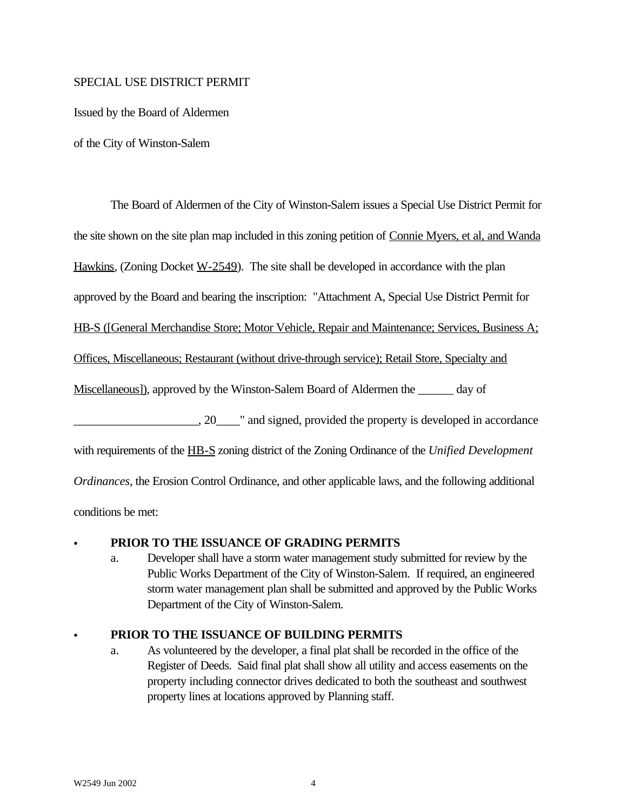### SPECIAL USE DISTRICT PERMIT

Issued by the Board of Aldermen

of the City of Winston-Salem

The Board of Aldermen of the City of Winston-Salem issues a Special Use District Permit for the site shown on the site plan map included in this zoning petition of Connie Myers, et al, and Wanda Hawkins, (Zoning Docket W-2549). The site shall be developed in accordance with the plan approved by the Board and bearing the inscription: "Attachment A, Special Use District Permit for HB-S ([General Merchandise Store; Motor Vehicle, Repair and Maintenance; Services, Business A; Offices, Miscellaneous; Restaurant (without drive-through service); Retail Store, Specialty and Miscellaneous]), approved by the Winston-Salem Board of Aldermen the day of 20 The analysis of the property is developed in accordance with requirements of the HB-S zoning district of the Zoning Ordinance of the *Unified Development Ordinances*, the Erosion Control Ordinance, and other applicable laws, and the following additional

conditions be met:

## PRIOR TO THE ISSUANCE OF GRADING PERMITS

a. Developer shall have a storm water management study submitted for review by the Public Works Department of the City of Winston-Salem. If required, an engineered storm water management plan shall be submitted and approved by the Public Works Department of the City of Winston-Salem.

## C **PRIOR TO THE ISSUANCE OF BUILDING PERMITS**

a. As volunteered by the developer, a final plat shall be recorded in the office of the Register of Deeds. Said final plat shall show all utility and access easements on the property including connector drives dedicated to both the southeast and southwest property lines at locations approved by Planning staff.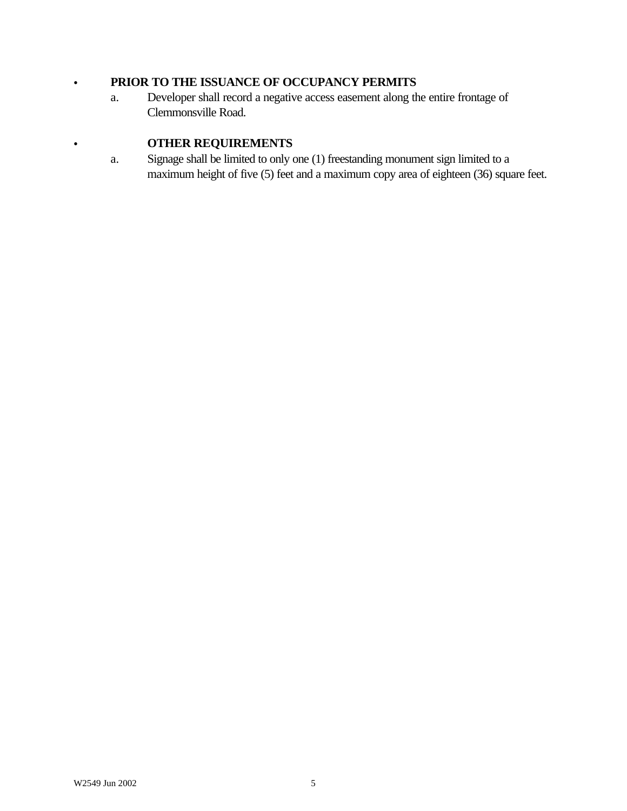# C **PRIOR TO THE ISSUANCE OF OCCUPANCY PERMITS**

a. Developer shall record a negative access easement along the entire frontage of Clemmonsville Road.

# **COTHER REQUIREMENTS**

a. Signage shall be limited to only one (1) freestanding monument sign limited to a maximum height of five (5) feet and a maximum copy area of eighteen (36) square feet.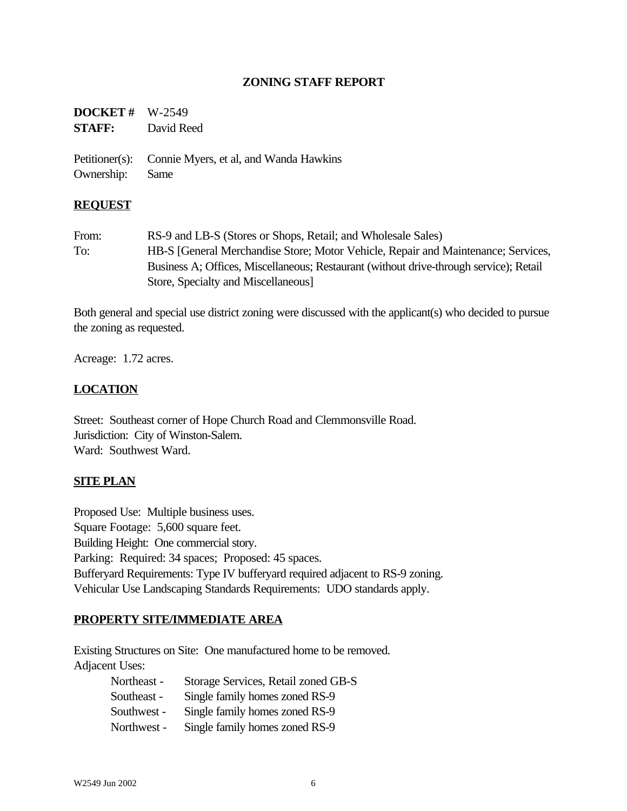### **ZONING STAFF REPORT**

# **DOCKET #** W-2549 **STAFF:** David Reed

Petitioner(s): Connie Myers, et al, and Wanda Hawkins Ownership: Same

### **REQUEST**

From: RS-9 and LB-S (Stores or Shops, Retail; and Wholesale Sales) To: HB-S [General Merchandise Store; Motor Vehicle, Repair and Maintenance; Services, Business A; Offices, Miscellaneous; Restaurant (without drive-through service); Retail Store, Specialty and Miscellaneous]

Both general and special use district zoning were discussed with the applicant(s) who decided to pursue the zoning as requested.

Acreage: 1.72 acres.

## **LOCATION**

Street: Southeast corner of Hope Church Road and Clemmonsville Road. Jurisdiction: City of Winston-Salem. Ward: Southwest Ward.

### **SITE PLAN**

Proposed Use: Multiple business uses. Square Footage: 5,600 square feet. Building Height: One commercial story. Parking: Required: 34 spaces; Proposed: 45 spaces. Bufferyard Requirements: Type IV bufferyard required adjacent to RS-9 zoning. Vehicular Use Landscaping Standards Requirements: UDO standards apply.

### **PROPERTY SITE/IMMEDIATE AREA**

Existing Structures on Site: One manufactured home to be removed. Adjacent Uses:

| Northeast - | Storage Services, Retail zoned GB-S |
|-------------|-------------------------------------|
| Southeast - | Single family homes zoned RS-9      |
| Southwest - | Single family homes zoned RS-9      |
| Northwest - | Single family homes zoned RS-9      |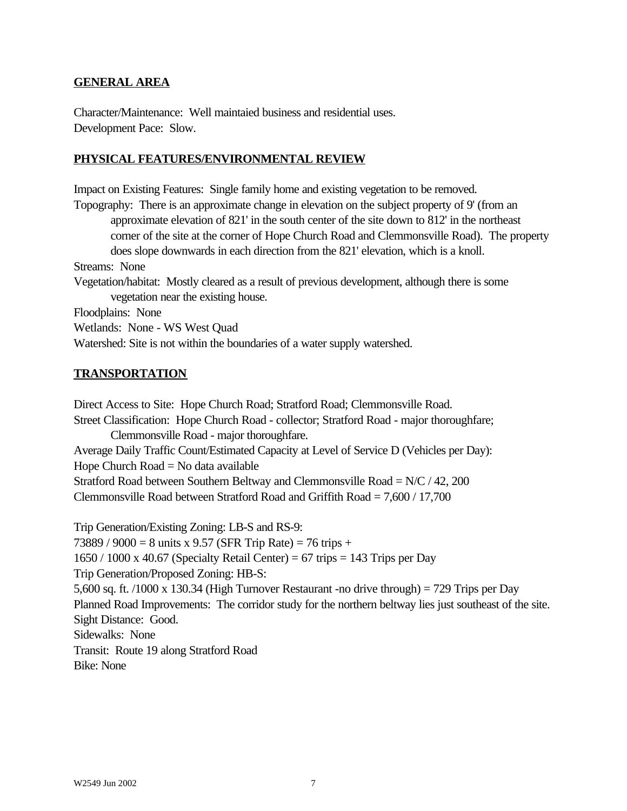### **GENERAL AREA**

Character/Maintenance: Well maintaied business and residential uses. Development Pace: Slow.

### **PHYSICAL FEATURES/ENVIRONMENTAL REVIEW**

Impact on Existing Features: Single family home and existing vegetation to be removed. Topography: There is an approximate change in elevation on the subject property of 9' (from an approximate elevation of 821' in the south center of the site down to 812' in the northeast corner of the site at the corner of Hope Church Road and Clemmonsville Road). The property does slope downwards in each direction from the 821' elevation, which is a knoll. Streams: None Vegetation/habitat: Mostly cleared as a result of previous development, although there is some vegetation near the existing house. Floodplains: None Wetlands: None - WS West Quad Watershed: Site is not within the boundaries of a water supply watershed.

### **TRANSPORTATION**

Direct Access to Site: Hope Church Road; Stratford Road; Clemmonsville Road. Street Classification: Hope Church Road - collector; Stratford Road - major thoroughfare; Clemmonsville Road - major thoroughfare. Average Daily Traffic Count/Estimated Capacity at Level of Service D (Vehicles per Day): Hope Church  $Road = No data available$ Stratford Road between Southern Beltway and Clemmonsville Road = N/C / 42, 200 Clemmonsville Road between Stratford Road and Griffith Road = 7,600 / 17,700

Trip Generation/Existing Zoning: LB-S and RS-9: 73889 / 9000 = 8 units x 9.57 (SFR Trip Rate) = 76 trips +  $1650 / 1000$  x 40.67 (Specialty Retail Center) = 67 trips = 143 Trips per Day Trip Generation/Proposed Zoning: HB-S: 5,600 sq. ft. /1000 x 130.34 (High Turnover Restaurant -no drive through) = 729 Trips per Day Planned Road Improvements: The corridor study for the northern beltway lies just southeast of the site. Sight Distance: Good. Sidewalks: None Transit: Route 19 along Stratford Road Bike: None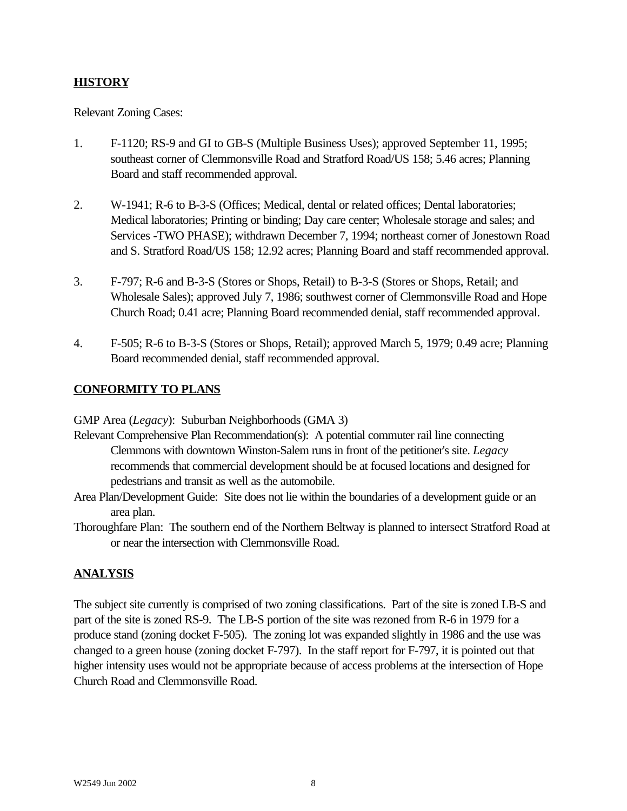# **HISTORY**

Relevant Zoning Cases:

- 1. F-1120; RS-9 and GI to GB-S (Multiple Business Uses); approved September 11, 1995; southeast corner of Clemmonsville Road and Stratford Road/US 158; 5.46 acres; Planning Board and staff recommended approval.
- 2. W-1941; R-6 to B-3-S (Offices; Medical, dental or related offices; Dental laboratories; Medical laboratories; Printing or binding; Day care center; Wholesale storage and sales; and Services -TWO PHASE); withdrawn December 7, 1994; northeast corner of Jonestown Road and S. Stratford Road/US 158; 12.92 acres; Planning Board and staff recommended approval.
- 3. F-797; R-6 and B-3-S (Stores or Shops, Retail) to B-3-S (Stores or Shops, Retail; and Wholesale Sales); approved July 7, 1986; southwest corner of Clemmonsville Road and Hope Church Road; 0.41 acre; Planning Board recommended denial, staff recommended approval.
- 4. F-505; R-6 to B-3-S (Stores or Shops, Retail); approved March 5, 1979; 0.49 acre; Planning Board recommended denial, staff recommended approval.

## **CONFORMITY TO PLANS**

GMP Area (*Legacy*): Suburban Neighborhoods (GMA 3)

- Relevant Comprehensive Plan Recommendation(s): A potential commuter rail line connecting Clemmons with downtown Winston-Salem runs in front of the petitioner's site. *Legacy* recommends that commercial development should be at focused locations and designed for pedestrians and transit as well as the automobile.
- Area Plan/Development Guide: Site does not lie within the boundaries of a development guide or an area plan.
- Thoroughfare Plan: The southern end of the Northern Beltway is planned to intersect Stratford Road at or near the intersection with Clemmonsville Road.

## **ANALYSIS**

The subject site currently is comprised of two zoning classifications. Part of the site is zoned LB-S and part of the site is zoned RS-9. The LB-S portion of the site was rezoned from R-6 in 1979 for a produce stand (zoning docket F-505). The zoning lot was expanded slightly in 1986 and the use was changed to a green house (zoning docket F-797). In the staff report for F-797, it is pointed out that higher intensity uses would not be appropriate because of access problems at the intersection of Hope Church Road and Clemmonsville Road.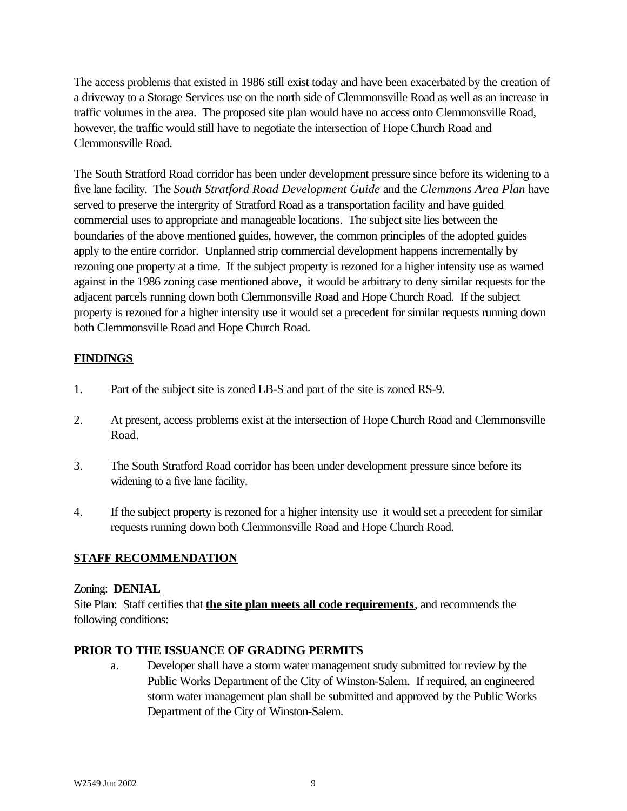The access problems that existed in 1986 still exist today and have been exacerbated by the creation of a driveway to a Storage Services use on the north side of Clemmonsville Road as well as an increase in traffic volumes in the area. The proposed site plan would have no access onto Clemmonsville Road, however, the traffic would still have to negotiate the intersection of Hope Church Road and Clemmonsville Road.

The South Stratford Road corridor has been under development pressure since before its widening to a five lane facility. The *South Stratford Road Development Guide* and the *Clemmons Area Plan* have served to preserve the intergrity of Stratford Road as a transportation facility and have guided commercial uses to appropriate and manageable locations. The subject site lies between the boundaries of the above mentioned guides, however, the common principles of the adopted guides apply to the entire corridor. Unplanned strip commercial development happens incrementally by rezoning one property at a time. If the subject property is rezoned for a higher intensity use as warned against in the 1986 zoning case mentioned above, it would be arbitrary to deny similar requests for the adjacent parcels running down both Clemmonsville Road and Hope Church Road. If the subject property is rezoned for a higher intensity use it would set a precedent for similar requests running down both Clemmonsville Road and Hope Church Road.

## **FINDINGS**

- 1. Part of the subject site is zoned LB-S and part of the site is zoned RS-9.
- 2. At present, access problems exist at the intersection of Hope Church Road and Clemmonsville Road.
- 3. The South Stratford Road corridor has been under development pressure since before its widening to a five lane facility.
- 4. If the subject property is rezoned for a higher intensity use it would set a precedent for similar requests running down both Clemmonsville Road and Hope Church Road.

## **STAFF RECOMMENDATION**

### Zoning: **DENIAL**

Site Plan: Staff certifies that **the site plan meets all code requirements**, and recommends the following conditions:

### **PRIOR TO THE ISSUANCE OF GRADING PERMITS**

a. Developer shall have a storm water management study submitted for review by the Public Works Department of the City of Winston-Salem. If required, an engineered storm water management plan shall be submitted and approved by the Public Works Department of the City of Winston-Salem.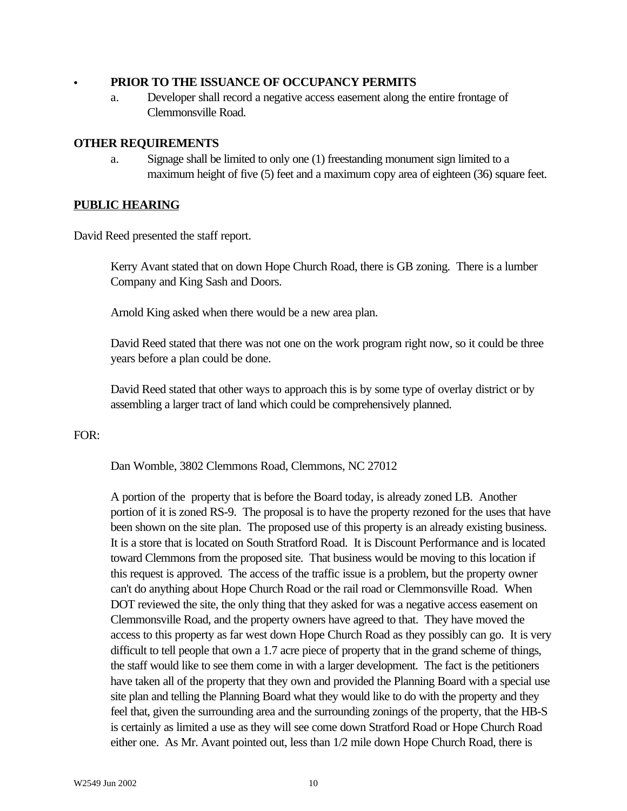#### C **PRIOR TO THE ISSUANCE OF OCCUPANCY PERMITS**

a. Developer shall record a negative access easement along the entire frontage of Clemmonsville Road.

#### **OTHER REQUIREMENTS**

a. Signage shall be limited to only one (1) freestanding monument sign limited to a maximum height of five (5) feet and a maximum copy area of eighteen (36) square feet.

#### **PUBLIC HEARING**

David Reed presented the staff report.

Kerry Avant stated that on down Hope Church Road, there is GB zoning. There is a lumber Company and King Sash and Doors.

Arnold King asked when there would be a new area plan.

David Reed stated that there was not one on the work program right now, so it could be three years before a plan could be done.

David Reed stated that other ways to approach this is by some type of overlay district or by assembling a larger tract of land which could be comprehensively planned.

FOR:

Dan Womble, 3802 Clemmons Road, Clemmons, NC 27012

A portion of the property that is before the Board today, is already zoned LB. Another portion of it is zoned RS-9. The proposal is to have the property rezoned for the uses that have been shown on the site plan. The proposed use of this property is an already existing business. It is a store that is located on South Stratford Road. It is Discount Performance and is located toward Clemmons from the proposed site. That business would be moving to this location if this request is approved. The access of the traffic issue is a problem, but the property owner can't do anything about Hope Church Road or the rail road or Clemmonsville Road. When DOT reviewed the site, the only thing that they asked for was a negative access easement on Clemmonsville Road, and the property owners have agreed to that. They have moved the access to this property as far west down Hope Church Road as they possibly can go. It is very difficult to tell people that own a 1.7 acre piece of property that in the grand scheme of things, the staff would like to see them come in with a larger development. The fact is the petitioners have taken all of the property that they own and provided the Planning Board with a special use site plan and telling the Planning Board what they would like to do with the property and they feel that, given the surrounding area and the surrounding zonings of the property, that the HB-S is certainly as limited a use as they will see come down Stratford Road or Hope Church Road either one. As Mr. Avant pointed out, less than 1/2 mile down Hope Church Road, there is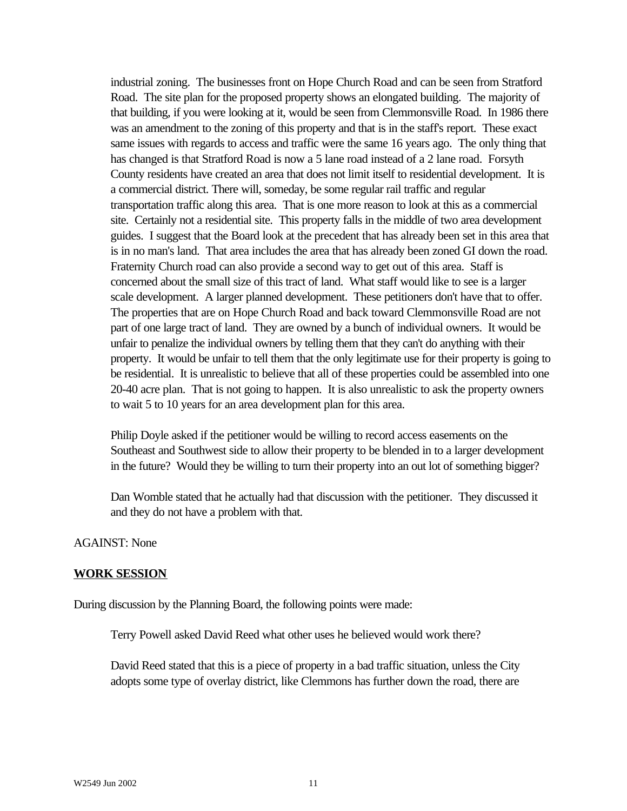industrial zoning. The businesses front on Hope Church Road and can be seen from Stratford Road. The site plan for the proposed property shows an elongated building. The majority of that building, if you were looking at it, would be seen from Clemmonsville Road. In 1986 there was an amendment to the zoning of this property and that is in the staff's report. These exact same issues with regards to access and traffic were the same 16 years ago. The only thing that has changed is that Stratford Road is now a 5 lane road instead of a 2 lane road. Forsyth County residents have created an area that does not limit itself to residential development. It is a commercial district. There will, someday, be some regular rail traffic and regular transportation traffic along this area. That is one more reason to look at this as a commercial site. Certainly not a residential site. This property falls in the middle of two area development guides. I suggest that the Board look at the precedent that has already been set in this area that is in no man's land. That area includes the area that has already been zoned GI down the road. Fraternity Church road can also provide a second way to get out of this area. Staff is concerned about the small size of this tract of land. What staff would like to see is a larger scale development. A larger planned development. These petitioners don't have that to offer. The properties that are on Hope Church Road and back toward Clemmonsville Road are not part of one large tract of land. They are owned by a bunch of individual owners. It would be unfair to penalize the individual owners by telling them that they can't do anything with their property. It would be unfair to tell them that the only legitimate use for their property is going to be residential. It is unrealistic to believe that all of these properties could be assembled into one 20-40 acre plan. That is not going to happen. It is also unrealistic to ask the property owners to wait 5 to 10 years for an area development plan for this area.

Philip Doyle asked if the petitioner would be willing to record access easements on the Southeast and Southwest side to allow their property to be blended in to a larger development in the future? Would they be willing to turn their property into an out lot of something bigger?

Dan Womble stated that he actually had that discussion with the petitioner. They discussed it and they do not have a problem with that.

#### AGAINST: None

#### **WORK SESSION**

During discussion by the Planning Board, the following points were made:

Terry Powell asked David Reed what other uses he believed would work there?

David Reed stated that this is a piece of property in a bad traffic situation, unless the City adopts some type of overlay district, like Clemmons has further down the road, there are